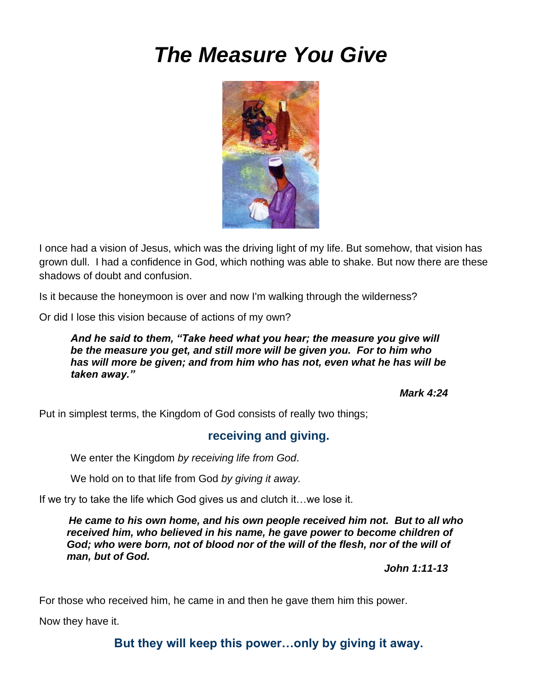# *The Measure You Give*



I once had a vision of Jesus, which was the driving light of my life. But somehow, that vision has grown dull. I had a confidence in God, which nothing was able to shake. But now there are these shadows of doubt and confusion.

Is it because the honeymoon is over and now I'm walking through the wilderness?

Or did I lose this vision because of actions of my own?

#### *And he said to them, "Take heed what you hear; the measure you give will be the measure you get, and still more will be given you. For to him who has will more be given; and from him who has not, even what he has will be taken away."*

*Mark 4:24*

Put in simplest terms, the Kingdom of God consists of really two things;

# **receiving and giving.**

We enter the Kingdom *by receiving life from God*.

We hold on to that life from God *by giving it away.*

If we try to take the life which God gives us and clutch it…we lose it.

*He came to his own home, and his own people received him not. But to all who received him, who believed in his name, he gave power to become children of God; who were born, not of blood nor of the will of the flesh, nor of the will of man, but of God.*

*John 1:11-13*

For those who received him, he came in and then he gave them him this power.

Now they have it.

**But they will keep this power…only by giving it away.**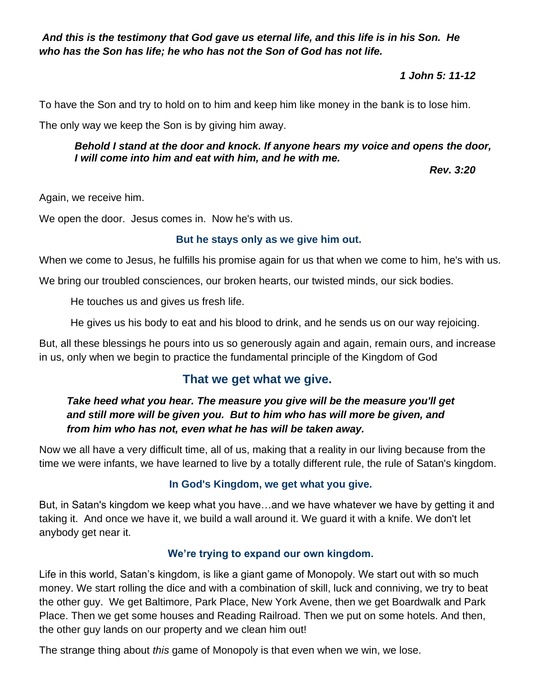*And this is the testimony that God gave us eternal life, and this life is in his Son. He who has the Son has life; he who has not the Son of God has not life.*

*1 John 5: 11-12*

To have the Son and try to hold on to him and keep him like money in the bank is to lose him.

The only way we keep the Son is by giving him away.

#### *Behold I stand at the door and knock. If anyone hears my voice and opens the door, I will come into him and eat with him, and he with me.*

*Rev. 3:20*

Again, we receive him.

We open the door. Jesus comes in. Now he's with us.

#### **But he stays only as we give him out.**

When we come to Jesus, he fulfills his promise again for us that when we come to him, he's with us.

We bring our troubled consciences, our broken hearts, our twisted minds, our sick bodies.

He touches us and gives us fresh life.

He gives us his body to eat and his blood to drink, and he sends us on our way rejoicing.

But, all these blessings he pours into us so generously again and again, remain ours, and increase in us, only when we begin to practice the fundamental principle of the Kingdom of God

# **That we get what we give.**

## *Take heed what you hear. The measure you give will be the measure you'll get and still more will be given you. But to him who has will more be given, and from him who has not, even what he has will be taken away.*

Now we all have a very difficult time, all of us, making that a reality in our living because from the time we were infants, we have learned to live by a totally different rule, the rule of Satan's kingdom.

#### **In God's Kingdom, we get what you give.**

But, in Satan's kingdom we keep what you have…and we have whatever we have by getting it and taking it. And once we have it, we build a wall around it. We guard it with a knife. We don't let anybody get near it.

#### **We're trying to expand our own kingdom.**

Life in this world, Satan's kingdom, is like a giant game of Monopoly. We start out with so much money. We start rolling the dice and with a combination of skill, luck and conniving, we try to beat the other guy. We get Baltimore, Park Place, New York Avene, then we get Boardwalk and Park Place. Then we get some houses and Reading Railroad. Then we put on some hotels. And then, the other guy lands on our property and we clean him out!

The strange thing about *this* game of Monopoly is that even when we win, we lose.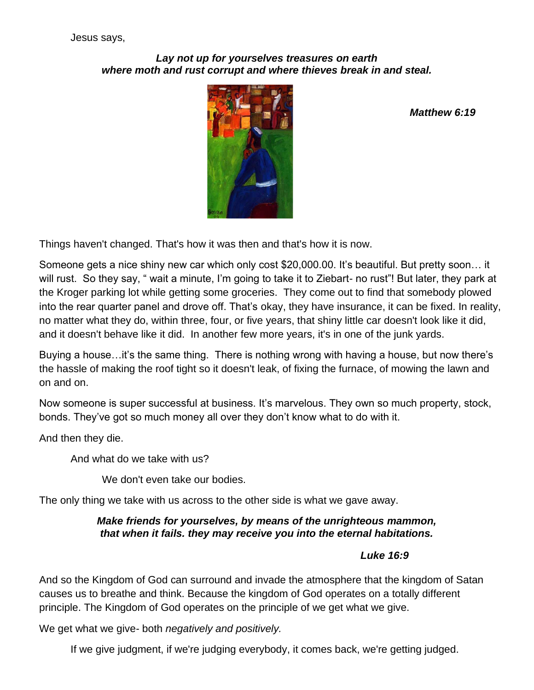*Lay not up for yourselves treasures on earth where moth and rust corrupt and where thieves break in and steal.*



*Matthew 6:19*

Things haven't changed. That's how it was then and that's how it is now.

Someone gets a nice shiny new car which only cost \$20,000.00. It's beautiful. But pretty soon… it will rust. So they say, " wait a minute, I'm going to take it to Ziebart- no rust"! But later, they park at the Kroger parking lot while getting some groceries. They come out to find that somebody plowed into the rear quarter panel and drove off. That's okay, they have insurance, it can be fixed. In reality, no matter what they do, within three, four, or five years, that shiny little car doesn't look like it did, and it doesn't behave like it did. In another few more years, it's in one of the junk yards.

Buying a house…it's the same thing. There is nothing wrong with having a house, but now there's the hassle of making the roof tight so it doesn't leak, of fixing the furnace, of mowing the lawn and on and on.

Now someone is super successful at business. It's marvelous. They own so much property, stock, bonds. They've got so much money all over they don't know what to do with it.

And then they die.

And what do we take with us?

We don't even take our bodies.

The only thing we take with us across to the other side is what we gave away.

#### *Make friends for yourselves, by means of the unrighteous mammon, that when it fails. they may receive you into the eternal habitations.*

# *Luke 16:9*

And so the Kingdom of God can surround and invade the atmosphere that the kingdom of Satan causes us to breathe and think. Because the kingdom of God operates on a totally different principle. The Kingdom of God operates on the principle of we get what we give.

We get what we give- both *negatively and positively.*

If we give judgment, if we're judging everybody, it comes back, we're getting judged.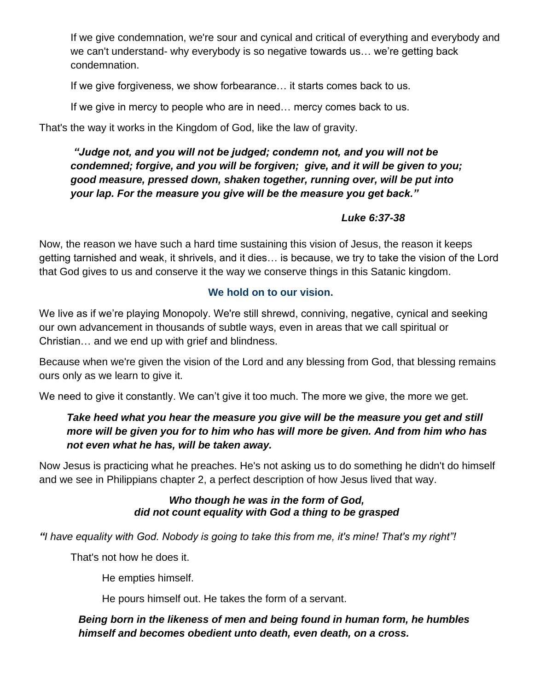If we give condemnation, we're sour and cynical and critical of everything and everybody and we can't understand- why everybody is so negative towards us… we're getting back condemnation.

If we give forgiveness, we show forbearance… it starts comes back to us.

If we give in mercy to people who are in need… mercy comes back to us.

That's the way it works in the Kingdom of God, like the law of gravity.

# *"Judge not, and you will not be judged; condemn not, and you will not be condemned; forgive, and you will be forgiven; give, and it will be given to you; good measure, pressed down, shaken together, running over, will be put into your lap. For the measure you give will be the measure you get back."*

#### *Luke 6:37-38*

Now, the reason we have such a hard time sustaining this vision of Jesus, the reason it keeps getting tarnished and weak, it shrivels, and it dies… is because, we try to take the vision of the Lord that God gives to us and conserve it the way we conserve things in this Satanic kingdom.

## **We hold on to our vision.**

We live as if we're playing Monopoly. We're still shrewd, conniving, negative, cynical and seeking our own advancement in thousands of subtle ways, even in areas that we call spiritual or Christian… and we end up with grief and blindness.

Because when we're given the vision of the Lord and any blessing from God, that blessing remains ours only as we learn to give it.

We need to give it constantly. We can't give it too much. The more we give, the more we get.

# *Take heed what you hear the measure you give will be the measure you get and still more will be given you for to him who has will more be given. And from him who has not even what he has, will be taken away.*

Now Jesus is practicing what he preaches. He's not asking us to do something he didn't do himself and we see in Philippians chapter 2, a perfect description of how Jesus lived that way.

#### *Who though he was in the form of God, did not count equality with God a thing to be grasped*

*"I have equality with God. Nobody is going to take this from me, it's mine! That's my right"!*

That's not how he does it.

He empties himself.

He pours himself out. He takes the form of a servant.

# *Being born in the likeness of men and being found in human form, he humbles himself and becomes obedient unto death, even death, on a cross.*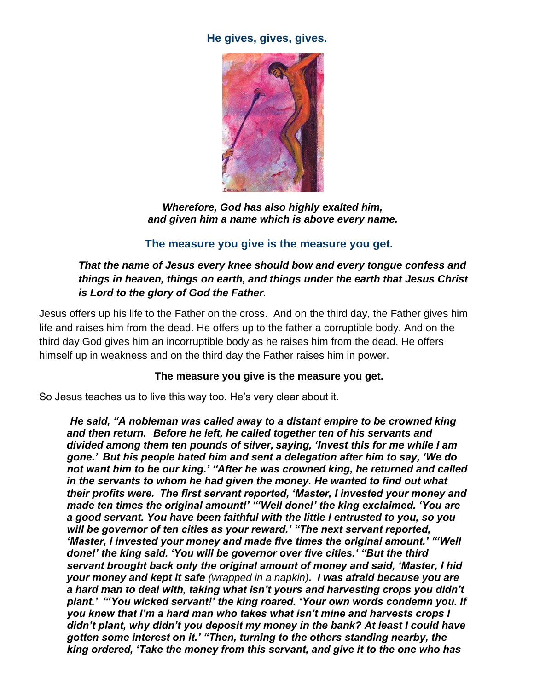## **He gives, gives, gives.**



*Wherefore, God has also highly exalted him, and given him a name which is above every name.*

#### **The measure you give is the measure you get.**

## *That the name of Jesus every knee should bow and every tongue confess and things in heaven, things on earth, and things under the earth that Jesus Christ is Lord to the glory of God the Father.*

Jesus offers up his life to the Father on the cross. And on the third day, the Father gives him life and raises him from the dead. He offers up to the father a corruptible body. And on the third day God gives him an incorruptible body as he raises him from the dead. He offers himself up in weakness and on the third day the Father raises him in power.

#### **The measure you give is the measure you get.**

So Jesus teaches us to live this way too. He's very clear about it.

*He said, "A nobleman was called away to a distant empire to be crowned king and then return. Before he left, he called together ten of his servants and divided among them ten pounds of silver, saying, 'Invest this for me while I am gone.' But his people hated him and sent a delegation after him to say, 'We do not want him to be our king.' "After he was crowned king, he returned and called in the servants to whom he had given the money. He wanted to find out what their profits were. The first servant reported, 'Master, I invested your money and made ten times the original amount!' "'Well done!' the king exclaimed. 'You are a good servant. You have been faithful with the little I entrusted to you, so you will be governor of ten cities as your reward.' "The next servant reported, 'Master, I invested your money and made five times the original amount.' "'Well done!' the king said. 'You will be governor over five cities.' "But the third servant brought back only the original amount of money and said, 'Master, I hid your money and kept it safe (wrapped in a napkin). I was afraid because you are a hard man to deal with, taking what isn't yours and harvesting crops you didn't plant.' "'You wicked servant!' the king roared. 'Your own words condemn you. If you knew that I'm a hard man who takes what isn't mine and harvests crops I didn't plant, why didn't you deposit my money in the bank? At least I could have gotten some interest on it.' "Then, turning to the others standing nearby, the king ordered, 'Take the money from this servant, and give it to the one who has*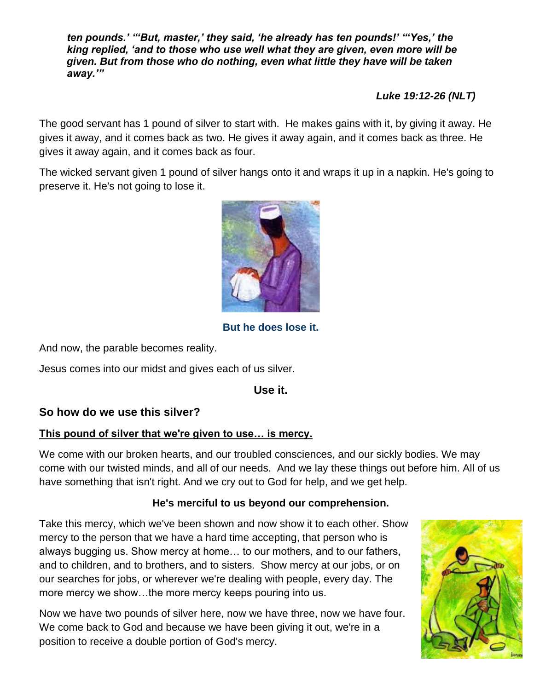*ten pounds.' "'But, master,' they said, 'he already has ten pounds!' "'Yes,' the king replied, 'and to those who use well what they are given, even more will be given. But from those who do nothing, even what little they have will be taken away.'"* 

#### *Luke 19:12-26 (NLT)*

The good servant has 1 pound of silver to start with. He makes gains with it, by giving it away. He gives it away, and it comes back as two. He gives it away again, and it comes back as three. He gives it away again, and it comes back as four.

The wicked servant given 1 pound of silver hangs onto it and wraps it up in a napkin. He's going to preserve it. He's not going to lose it.



**But he does lose it.**

And now, the parable becomes reality.

Jesus comes into our midst and gives each of us silver.

#### **Use it.**

# **So how do we use this silver?**

#### **This pound of silver that we're given to use… is mercy.**

We come with our broken hearts, and our troubled consciences, and our sickly bodies. We may come with our twisted minds, and all of our needs. And we lay these things out before him. All of us have something that isn't right. And we cry out to God for help, and we get help.

# **He's merciful to us beyond our comprehension.**

Take this mercy, which we've been shown and now show it to each other. Show mercy to the person that we have a hard time accepting, that person who is always bugging us. Show mercy at home… to our mothers, and to our fathers, and to children, and to brothers, and to sisters. Show mercy at our jobs, or on our searches for jobs, or wherever we're dealing with people, every day. The more mercy we show…the more mercy keeps pouring into us.

Now we have two pounds of silver here, now we have three, now we have four. We come back to God and because we have been giving it out, we're in a position to receive a double portion of God's mercy.

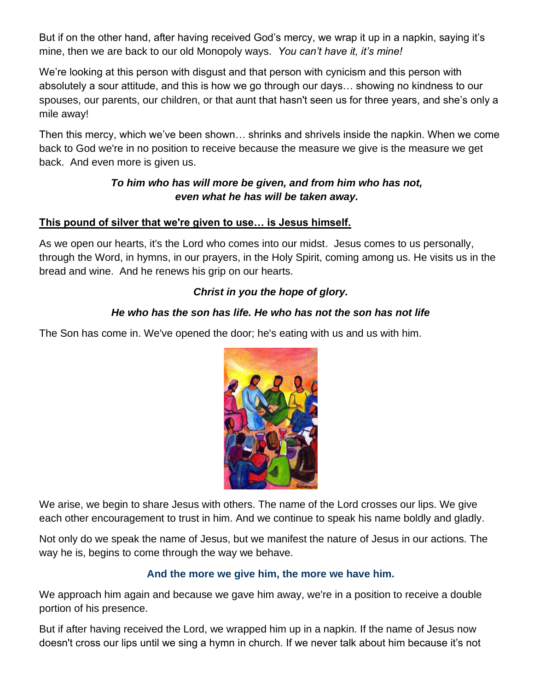But if on the other hand, after having received God's mercy, we wrap it up in a napkin, saying it's mine, then we are back to our old Monopoly ways. *You can't have it, it's mine!* 

We're looking at this person with disgust and that person with cynicism and this person with absolutely a sour attitude, and this is how we go through our days… showing no kindness to our spouses, our parents, our children, or that aunt that hasn't seen us for three years, and she's only a mile away!

Then this mercy, which we've been shown… shrinks and shrivels inside the napkin. When we come back to God we're in no position to receive because the measure we give is the measure we get back. And even more is given us.

# *To him who has will more be given, and from him who has not, even what he has will be taken away.*

## **This pound of silver that we're given to use… is Jesus himself.**

As we open our hearts, it's the Lord who comes into our midst. Jesus comes to us personally, through the Word, in hymns, in our prayers, in the Holy Spirit, coming among us. He visits us in the bread and wine. And he renews his grip on our hearts.

# *Christ in you the hope of glory.*

# *He who has the son has life. He who has not the son has not life*

The Son has come in. We've opened the door; he's eating with us and us with him.



We arise, we begin to share Jesus with others. The name of the Lord crosses our lips. We give each other encouragement to trust in him. And we continue to speak his name boldly and gladly.

Not only do we speak the name of Jesus, but we manifest the nature of Jesus in our actions. The way he is, begins to come through the way we behave.

# **And the more we give him, the more we have him.**

We approach him again and because we gave him away, we're in a position to receive a double portion of his presence.

But if after having received the Lord, we wrapped him up in a napkin. If the name of Jesus now doesn't cross our lips until we sing a hymn in church. If we never talk about him because it's not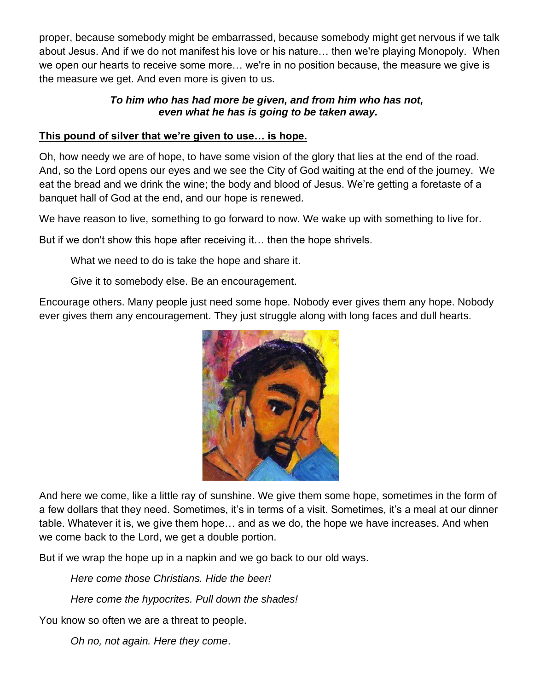proper, because somebody might be embarrassed, because somebody might get nervous if we talk about Jesus. And if we do not manifest his love or his nature… then we're playing Monopoly. When we open our hearts to receive some more… we're in no position because, the measure we give is the measure we get. And even more is given to us.

#### *To him who has had more be given, and from him who has not, even what he has is going to be taken away.*

## **This pound of silver that we're given to use… is hope.**

Oh, how needy we are of hope, to have some vision of the glory that lies at the end of the road. And, so the Lord opens our eyes and we see the City of God waiting at the end of the journey. We eat the bread and we drink the wine; the body and blood of Jesus. We're getting a foretaste of a banquet hall of God at the end, and our hope is renewed.

We have reason to live, something to go forward to now. We wake up with something to live for.

But if we don't show this hope after receiving it… then the hope shrivels.

What we need to do is take the hope and share it.

Give it to somebody else. Be an encouragement.

Encourage others. Many people just need some hope. Nobody ever gives them any hope. Nobody ever gives them any encouragement. They just struggle along with long faces and dull hearts.



And here we come, like a little ray of sunshine. We give them some hope, sometimes in the form of a few dollars that they need. Sometimes, it's in terms of a visit. Sometimes, it's a meal at our dinner table. Whatever it is, we give them hope… and as we do, the hope we have increases. And when we come back to the Lord, we get a double portion.

But if we wrap the hope up in a napkin and we go back to our old ways.

*Here come those Christians. Hide the beer!* 

*Here come the hypocrites. Pull down the shades!*

You know so often we are a threat to people.

*Oh no, not again. Here they come*.